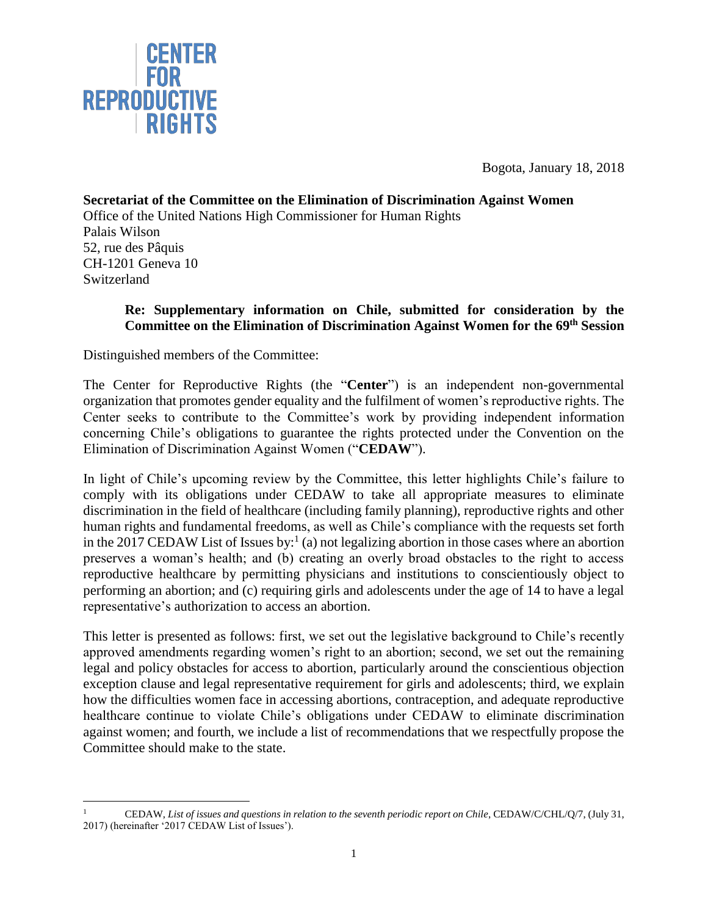

Bogota, January 18, 2018

**Secretariat of the Committee on the Elimination of Discrimination Against Women** Office of the United Nations High Commissioner for Human Rights Palais Wilson 52, rue des Pâquis CH-1201 Geneva 10 Switzerland

# **Re: Supplementary information on Chile, submitted for consideration by the Committee on the Elimination of Discrimination Against Women for the 69 th Session**

Distinguished members of the Committee:

The Center for Reproductive Rights (the "**Center**") is an independent non-governmental organization that promotes gender equality and the fulfilment of women's reproductive rights. The Center seeks to contribute to the Committee's work by providing independent information concerning Chile's obligations to guarantee the rights protected under the Convention on the Elimination of Discrimination Against Women ("**CEDAW**").

In light of Chile's upcoming review by the Committee, this letter highlights Chile's failure to comply with its obligations under CEDAW to take all appropriate measures to eliminate discrimination in the field of healthcare (including family planning), reproductive rights and other human rights and fundamental freedoms, as well as Chile's compliance with the requests set forth in the 2017 CEDAW List of Issues by:<sup>1</sup> (a) not legalizing abortion in those cases where an abortion preserves a woman's health; and (b) creating an overly broad obstacles to the right to access reproductive healthcare by permitting physicians and institutions to conscientiously object to performing an abortion; and (c) requiring girls and adolescents under the age of 14 to have a legal representative's authorization to access an abortion.

This letter is presented as follows: first, we set out the legislative background to Chile's recently approved amendments regarding women's right to an abortion; second, we set out the remaining legal and policy obstacles for access to abortion, particularly around the conscientious objection exception clause and legal representative requirement for girls and adolescents; third, we explain how the difficulties women face in accessing abortions, contraception, and adequate reproductive healthcare continue to violate Chile's obligations under CEDAW to eliminate discrimination against women; and fourth, we include a list of recommendations that we respectfully propose the Committee should make to the state.

 $\overline{a}$ <sup>1</sup> CEDAW, *List of issues and questions in relation to the seventh periodic report on Chile*, CEDAW/C/CHL/Q/7, (July 31, 2017) (hereinafter '2017 CEDAW List of Issues').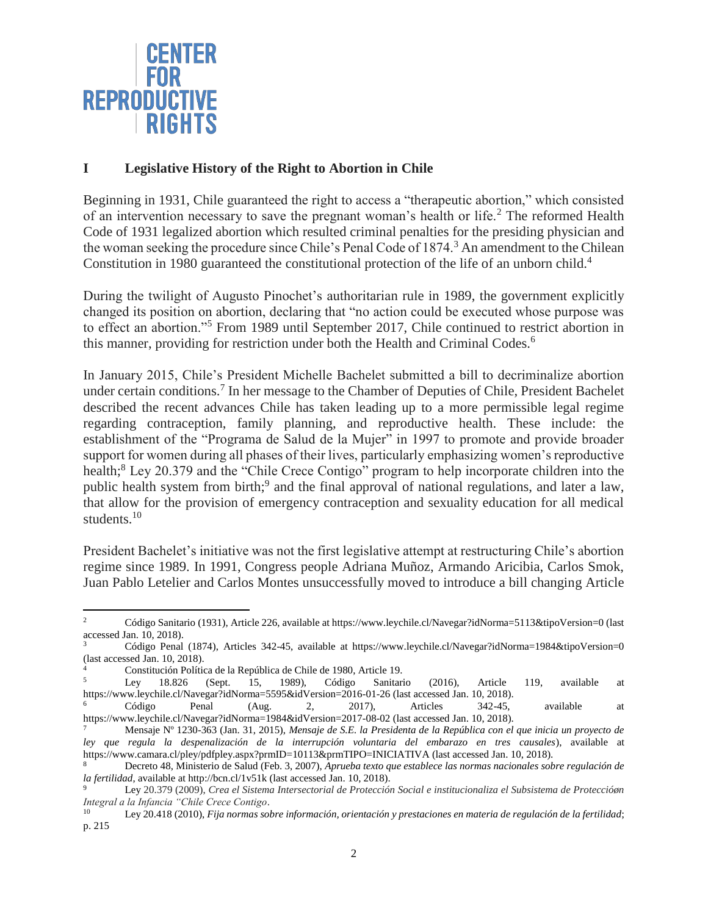

# **I Legislative History of the Right to Abortion in Chile**

Beginning in 1931, Chile guaranteed the right to access a "therapeutic abortion," which consisted of an intervention necessary to save the pregnant woman's health or life.<sup>2</sup> The reformed Health Code of 1931 legalized abortion which resulted criminal penalties for the presiding physician and the woman seeking the procedure since Chile's Penal Code of 1874.<sup>3</sup> An amendment to the Chilean Constitution in 1980 guaranteed the constitutional protection of the life of an unborn child.<sup>4</sup>

During the twilight of Augusto Pinochet's authoritarian rule in 1989, the government explicitly changed its position on abortion, declaring that "no action could be executed whose purpose was to effect an abortion."<sup>5</sup> From 1989 until September 2017, Chile continued to restrict abortion in this manner, providing for restriction under both the Health and Criminal Codes.<sup>6</sup>

In January 2015, Chile's President Michelle Bachelet submitted a bill to decriminalize abortion under certain conditions.<sup>7</sup> In her message to the Chamber of Deputies of Chile, President Bachelet described the recent advances Chile has taken leading up to a more permissible legal regime regarding contraception, family planning, and reproductive health. These include: the establishment of the "Programa de Salud de la Mujer" in 1997 to promote and provide broader support for women during all phases of their lives, particularly emphasizing women's reproductive health;<sup>8</sup> Ley 20.379 and the "Chile Crece Contigo" program to help incorporate children into the public health system from birth;<sup>9</sup> and the final approval of national regulations, and later a law, that allow for the provision of emergency contraception and sexuality education for all medical students.<sup>10</sup>

President Bachelet's initiative was not the first legislative attempt at restructuring Chile's abortion regime since 1989. In 1991, Congress people Adriana Muñoz, Armando Aricibia, Carlos Smok, Juan Pablo Letelier and Carlos Montes unsuccessfully moved to introduce a bill changing Article

 $\overline{a}$ <sup>2</sup> Código Sanitario (1931), Article 226, available at https://www.leychile.cl/Navegar?idNorma=5113&tipoVersion=0 (last accessed Jan. 10, 2018).

<sup>3</sup> Código Penal (1874), Articles 342-45, available at https://www.leychile.cl/Navegar?idNorma=1984&tipoVersion=0 (last accessed Jan. 10, 2018).

<sup>&</sup>lt;sup>4</sup> Constitución Política de la República de Chile de 1980, Article 19.<br>5 1.01 - 18.826 (Sont 15, 1989) Código Sanitar

<sup>&</sup>lt;sup>5</sup> Ley 18.826 (Sept. 15, 1989), Código Sanitario (2016), Article 119, available at https://www.leychile.cl/Navegar?idNorma=5595&idVersion=2016-01-26 (last accessed Jan. 10, 2018).

 $6$  Código Penal (Aug. 2, 2017), Articles 342-45, available at https://www.leychile.cl/Navegar?idNorma=1984&idVersion=2017-08-02 (last accessed Jan. 10, 2018).

<sup>7</sup> Mensaje Nº 1230-363 (Jan. 31, 2015), *Mensaje de S.E. la Presidenta de la República con el que inicia un proyecto de ley que regula la despenalización de la interrupción voluntaria del embarazo en tres causales*), available at https://www.camara.cl/pley/pdfpley.aspx?prmID=10113&prmTIPO=INICIATIVA (last accessed Jan. 10, 2018).

<sup>8</sup> Decreto 48, Ministerio de Salud (Feb. 3, 2007), *Aprueba texto que establece las normas nacionales sobre regulación de la fertilidad*, available at http://bcn.cl/1v51k (last accessed Jan. 10, 2018).

<sup>9</sup> Ley 20.379 (2009), *Crea el Sistema Intersectorial de Protección Social e institucionaliza el Subsistema de Proteccióøn Integral a la Infancia "Chile Crece Contigo*.

<sup>10</sup> Ley 20.418 (2010), *Fija normas sobre información, orientación y prestaciones en materia de regulación de la fertilidad*; p. 215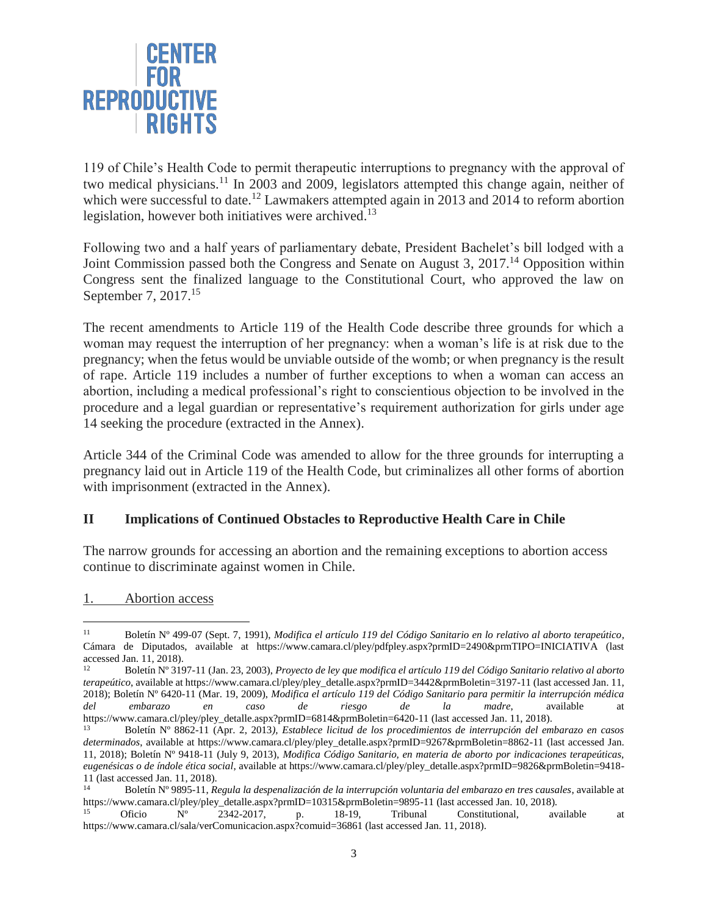

119 of Chile's Health Code to permit therapeutic interruptions to pregnancy with the approval of two medical physicians.<sup>11</sup> In 2003 and 2009, legislators attempted this change again, neither of which were successful to date.<sup>12</sup> Lawmakers attempted again in 2013 and 2014 to reform abortion legislation, however both initiatives were archived.<sup>13</sup>

Following two and a half years of parliamentary debate, President Bachelet's bill lodged with a Joint Commission passed both the Congress and Senate on August 3, 2017.<sup>14</sup> Opposition within Congress sent the finalized language to the Constitutional Court, who approved the law on September 7, 2017.<sup>15</sup>

The recent amendments to Article 119 of the Health Code describe three grounds for which a woman may request the interruption of her pregnancy: when a woman's life is at risk due to the pregnancy; when the fetus would be unviable outside of the womb; or when pregnancy is the result of rape. Article 119 includes a number of further exceptions to when a woman can access an abortion, including a medical professional's right to conscientious objection to be involved in the procedure and a legal guardian or representative's requirement authorization for girls under age 14 seeking the procedure (extracted in the Annex).

Article 344 of the Criminal Code was amended to allow for the three grounds for interrupting a pregnancy laid out in Article 119 of the Health Code, but criminalizes all other forms of abortion with imprisonment (extracted in the Annex).

# **II Implications of Continued Obstacles to Reproductive Health Care in Chile**

The narrow grounds for accessing an abortion and the remaining exceptions to abortion access continue to discriminate against women in Chile.

### 1. Abortion access

 $11$ <sup>11</sup> Boletín Nº 499-07 (Sept. 7, 1991), *Modifica el artículo 119 del Código Sanitario en lo relativo al aborto terapeútico*, Cámara de Diputados, available at https://www.camara.cl/pley/pdfpley.aspx?prmID=2490&prmTIPO=INICIATIVA (last accessed Jan. 11, 2018).

<sup>12</sup> Boletín Nº 3197-11 (Jan. 23, 2003), *Proyecto de ley que modifica el artículo 119 del Código Sanitario relativo al aborto terapeútico*, available at https://www.camara.cl/pley/pley\_detalle.aspx?prmID=3442&prmBoletin=3197-11 (last accessed Jan. 11, 2018); Boletín Nº 6420-11 (Mar. 19, 2009), *Modifica el artículo 119 del Código Sanitario para permitir la interrupción médica del embarazo en caso de riesgo de la madre*, available at https://www.camara.cl/pley/pley\_detalle.aspx?prmID=6814&prmBoletin=6420-11 (last accessed Jan. 11, 2018).

<sup>13</sup> Boletín Nº 8862-11 (Apr. 2, 2013*), Establece licitud de los procedimientos de interrupción del embarazo en casos determinados*, available at https://www.camara.cl/pley/pley\_detalle.aspx?prmID=9267&prmBoletin=8862-11 (last accessed Jan. 11, 2018); Boletín Nº 9418-11 (July 9, 2013), *Modifica Código Sanitario, en materia de aborto por indicaciones terapeúticas, eugenésicas o de índole ética social*, available at https://www.camara.cl/pley/pley\_detalle.aspx?prmID=9826&prmBoletin=9418- 11 (last accessed Jan. 11, 2018).

<sup>14</sup> Boletín Nº 9895-11, *Regula la despenalización de la interrupción voluntaria del embarazo en tres causales*, available at https://www.camara.cl/pley/pley\_detalle.aspx?prmID=10315&prmBoletin=9895-11 (last accessed Jan. 10, 2018).

<sup>15</sup> Oficio Nº 2342-2017, p. 18-19, Tribunal Constitutional, available at https://www.camara.cl/sala/verComunicacion.aspx?comuid=36861 (last accessed Jan. 11, 2018).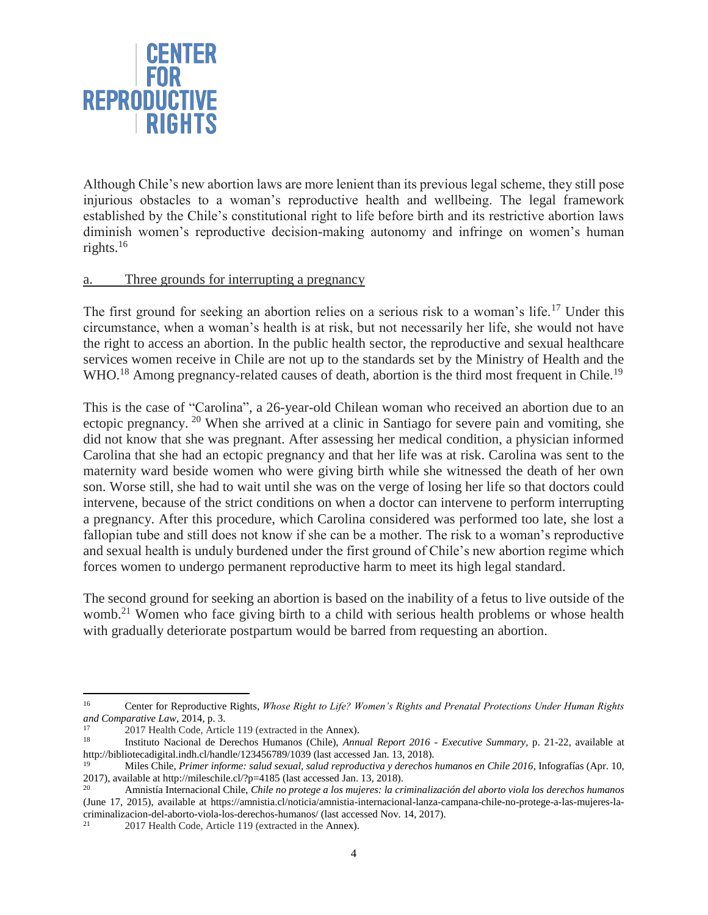

Although Chile's new abortion laws are more lenient than its previous legal scheme, they still pose injurious obstacles to a woman's reproductive health and wellbeing. The legal framework established by the Chile's constitutional right to life before birth and its restrictive abortion laws diminish women's reproductive decision-making autonomy and infringe on women's human rights. $16$ 

### a. Three grounds for interrupting a pregnancy

The first ground for seeking an abortion relies on a serious risk to a woman's life.<sup>17</sup> Under this circumstance, when a woman's health is at risk, but not necessarily her life, she would not have the right to access an abortion. In the public health sector, the reproductive and sexual healthcare services women receive in Chile are not up to the standards set by the Ministry of Health and the WHO.<sup>18</sup> Among pregnancy-related causes of death, abortion is the third most frequent in Chile.<sup>19</sup>

This is the case of "Carolina", a 26-year-old Chilean woman who received an abortion due to an ectopic pregnancy. <sup>20</sup> When she arrived at a clinic in Santiago for severe pain and vomiting, she did not know that she was pregnant. After assessing her medical condition, a physician informed Carolina that she had an ectopic pregnancy and that her life was at risk. Carolina was sent to the maternity ward beside women who were giving birth while she witnessed the death of her own son. Worse still, she had to wait until she was on the verge of losing her life so that doctors could intervene, because of the strict conditions on when a doctor can intervene to perform interrupting a pregnancy. After this procedure, which Carolina considered was performed too late, she lost a fallopian tube and still does not know if she can be a mother. The risk to a woman's reproductive and sexual health is unduly burdened under the first ground of Chile's new abortion regime which forces women to undergo permanent reproductive harm to meet its high legal standard.

The second ground for seeking an abortion is based on the inability of a fetus to live outside of the womb.<sup>21</sup> Women who face giving birth to a child with serious health problems or whose health with gradually deteriorate postpartum would be barred from requesting an abortion.

<sup>16</sup> <sup>16</sup> Center for Reproductive Rights, *Whose Right to Life? Women's Rights and Prenatal Protections Under Human Rights and Comparative Law*, 2014, p. 3.

<sup>&</sup>lt;sup>17</sup> 2017 Health Code, Article 119 (extracted in the Annex).<br><sup>18</sup> Instituto Nacional de Derechos Humanos (Chile), *Ann* 

<sup>18</sup> Instituto Nacional de Derechos Humanos (Chile), *Annual Report 2016 - Executive Summary*, p. 21-22, available at http://bibliotecadigital.indh.cl/handle/123456789/1039 (last accessed Jan. 13, 2018).

<sup>19</sup> Miles Chile, *Primer informe: salud sexual, salud reproductiva y derechos humanos en Chile 2016*, Infografías (Apr. 10, 2017), available at http://mileschile.cl/?p=4185 (last accessed Jan. 13, 2018).

<sup>20</sup> Amnistía Internacional Chile, *Chile no protege a los mujeres: la criminalización del aborto viola los derechos humanos* (June 17, 2015), available at https://amnistia.cl/noticia/amnistia-internacional-lanza-campana-chile-no-protege-a-las-mujeres-lacriminalizacion-del-aborto-viola-los-derechos-humanos/ (last accessed Nov. 14, 2017).

<sup>2017</sup> Health Code, Article 119 (extracted in the Annex).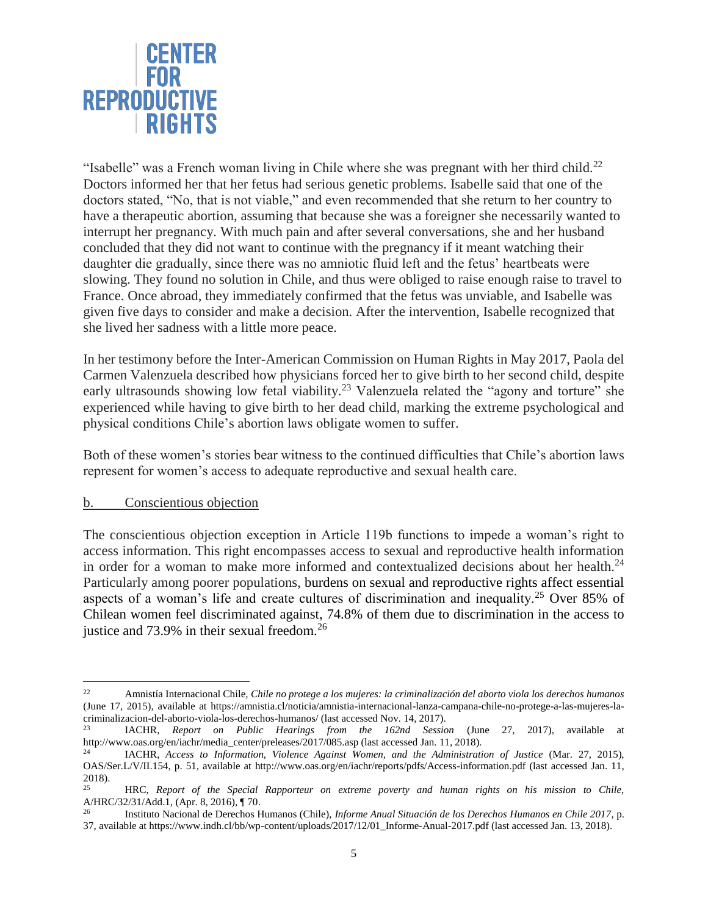

"Isabelle" was a French woman living in Chile where she was pregnant with her third child.<sup>22</sup> Doctors informed her that her fetus had serious genetic problems. Isabelle said that one of the doctors stated, "No, that is not viable," and even recommended that she return to her country to have a therapeutic abortion, assuming that because she was a foreigner she necessarily wanted to interrupt her pregnancy. With much pain and after several conversations, she and her husband concluded that they did not want to continue with the pregnancy if it meant watching their daughter die gradually, since there was no amniotic fluid left and the fetus' heartbeats were slowing. They found no solution in Chile, and thus were obliged to raise enough raise to travel to France. Once abroad, they immediately confirmed that the fetus was unviable, and Isabelle was given five days to consider and make a decision. After the intervention, Isabelle recognized that she lived her sadness with a little more peace.

In her testimony before the Inter-American Commission on Human Rights in May 2017, Paola del Carmen Valenzuela described how physicians forced her to give birth to her second child, despite early ultrasounds showing low fetal viability.<sup>23</sup> Valenzuela related the "agony and torture" she experienced while having to give birth to her dead child, marking the extreme psychological and physical conditions Chile's abortion laws obligate women to suffer.

Both of these women's stories bear witness to the continued difficulties that Chile's abortion laws represent for women's access to adequate reproductive and sexual health care.

### b. Conscientious objection

The conscientious objection exception in Article 119b functions to impede a woman's right to access information. This right encompasses access to sexual and reproductive health information in order for a woman to make more informed and contextualized decisions about her health. $^{24}$ Particularly among poorer populations, burdens on sexual and reproductive rights affect essential aspects of a woman's life and create cultures of discrimination and inequality.<sup>25</sup> Over 85% of Chilean women feel discriminated against, 74.8% of them due to discrimination in the access to justice and  $73.9\%$  in their sexual freedom.<sup>26</sup>

 $22$ <sup>22</sup> Amnistía Internacional Chile, *Chile no protege a los mujeres: la criminalización del aborto viola los derechos humanos* (June 17, 2015), available at https://amnistia.cl/noticia/amnistia-internacional-lanza-campana-chile-no-protege-a-las-mujeres-lacriminalizacion-del-aborto-viola-los-derechos-humanos/ (last accessed Nov. 14, 2017).

<sup>23</sup> IACHR, *Report on Public Hearings from the 162nd Session* (June 27, 2017), available at http://www.oas.org/en/iachr/media\_center/preleases/2017/085.asp (last accessed Jan. 11, 2018).

<sup>24</sup> IACHR, *Access to Information, Violence Against Women, and the Administration of Justice* (Mar. 27, 2015), OAS/Ser.L/V/II.154, p. 51, available at http://www.oas.org/en/iachr/reports/pdfs/Access-information.pdf (last accessed Jan. 11,  $2018$ ).

<sup>25</sup> HRC, *Report of the Special Rapporteur on extreme poverty and human rights on his mission to Chile,*  A/HRC/32/31/Add.1, (Apr. 8, 2016),  $\P$  70.<br>  $^{26}$ 

<sup>26</sup> Instituto Nacional de Derechos Humanos (Chile), *Informe Anual Situación de los Derechos Humanos en Chile 2017*, p. 37, available at https://www.indh.cl/bb/wp-content/uploads/2017/12/01\_Informe-Anual-2017.pdf (last accessed Jan. 13, 2018).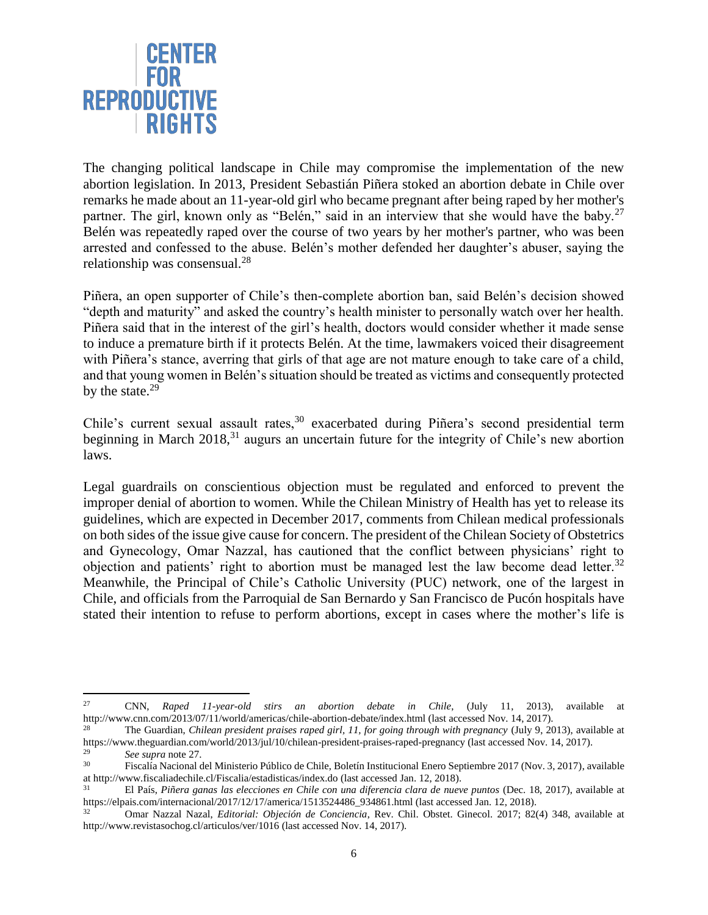

The changing political landscape in Chile may compromise the implementation of the new abortion legislation. In 2013, President Sebastián Piñera stoked an abortion debate in Chile over remarks he made about an 11-year-old girl who became pregnant after being raped by her mother's partner. The girl, known only as "Belén," said in an interview that she would have the baby.<sup>27</sup> Belén was repeatedly raped over the course of two years by her mother's partner, who was been arrested and confessed to the abuse. Belén's mother defended her daughter's abuser, saying the relationship was consensual.<sup>28</sup>

Piñera, an open supporter of Chile's then-complete abortion ban, said Belén's decision showed "depth and maturity" and asked the country's health minister to personally watch over her health. Piñera said that in the interest of the girl's health, doctors would consider whether it made sense to induce a premature birth if it protects Belén. At the time, lawmakers voiced their disagreement with Piñera's stance, averring that girls of that age are not mature enough to take care of a child, and that young women in Belén's situation should be treated as victims and consequently protected by the state. $29$ 

Chile's current sexual assault rates,<sup>30</sup> exacerbated during Piñera's second presidential term beginning in March 2018,<sup>31</sup> augurs an uncertain future for the integrity of Chile's new abortion laws.

Legal guardrails on conscientious objection must be regulated and enforced to prevent the improper denial of abortion to women. While the Chilean Ministry of Health has yet to release its guidelines, which are expected in December 2017, comments from Chilean medical professionals on both sides of the issue give cause for concern. The president of the Chilean Society of Obstetrics and Gynecology, Omar Nazzal, has cautioned that the conflict between physicians' right to objection and patients' right to abortion must be managed lest the law become dead letter.<sup>32</sup> Meanwhile, the Principal of Chile's Catholic University (PUC) network, one of the largest in Chile, and officials from the Parroquial de San Bernardo y San Francisco de Pucón hospitals have stated their intention to refuse to perform abortions, except in cases where the mother's life is

<sup>27</sup> <sup>27</sup> CNN, *Raped 11-year-old stirs an abortion debate in Chile*, (July 11, 2013), available at <http://www.cnn.com/2013/07/11/world/americas/chile-abortion-debate/index.html> (last accessed Nov. 14, 2017).

<sup>28</sup> The Guardian, *Chilean president praises raped girl, 11, for going through with pregnancy* (July 9, 2013), available at <https://www.theguardian.com/world/2013/jul/10/chilean-president-praises-raped-pregnancy> (last accessed Nov. 14, 2017).

<sup>29</sup> *See supra* note 27. <sup>30</sup> Fiscalía Nacional del Ministerio Público de Chile, Boletín Institucional Enero Septiembre 2017 (Nov. 3, 2017), available at http://www.fiscaliadechile.cl/Fiscalia/estadisticas/index.do (last accessed Jan. 12, 2018).

<sup>31</sup> El País, *Piñera ganas las elecciones en Chile con una diferencia clara de nueve puntos* (Dec. 18, 2017), available at https://elpais.com/internacional/2017/12/17/america/1513524486\_934861.html (last accessed Jan. 12, 2018).

<sup>32</sup> Omar Nazzal Nazal, *Editorial: Objeción de Conciencia*, Rev. Chil. Obstet. Ginecol. 2017; 82(4) 348, available at http://www.revistasochog.cl/articulos/ver/1016 (last accessed Nov. 14, 2017).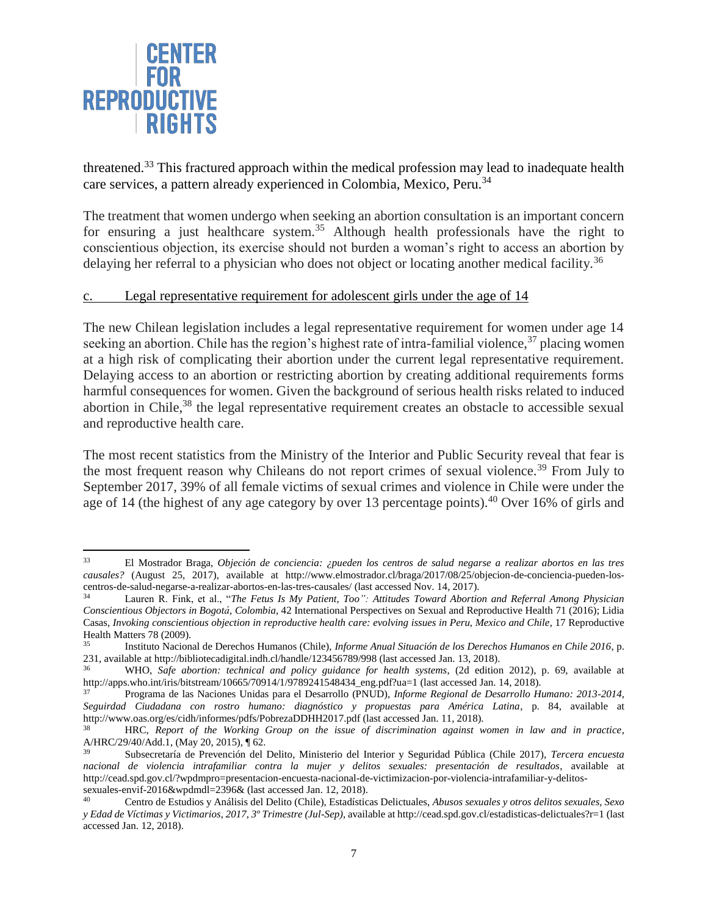

 $\overline{a}$ 

threatened.<sup>33</sup> This fractured approach within the medical profession may lead to inadequate health care services, a pattern already experienced in Colombia, Mexico, Peru.<sup>34</sup>

The treatment that women undergo when seeking an abortion consultation is an important concern for ensuring a just healthcare system.<sup>35</sup> Although health professionals have the right to conscientious objection, its exercise should not burden a woman's right to access an abortion by delaying her referral to a physician who does not object or locating another medical facility.<sup>36</sup>

#### c. Legal representative requirement for adolescent girls under the age of 14

The new Chilean legislation includes a legal representative requirement for women under age 14 seeking an abortion. Chile has the region's highest rate of intra-familial violence,  $37$  placing women at a high risk of complicating their abortion under the current legal representative requirement. Delaying access to an abortion or restricting abortion by creating additional requirements forms harmful consequences for women. Given the background of serious health risks related to induced abortion in Chile,<sup>38</sup> the legal representative requirement creates an obstacle to accessible sexual and reproductive health care.

The most recent statistics from the Ministry of the Interior and Public Security reveal that fear is the most frequent reason why Chileans do not report crimes of sexual violence.<sup>39</sup> From July to September 2017, 39% of all female victims of sexual crimes and violence in Chile were under the age of 14 (the highest of any age category by over 13 percentage points).<sup>40</sup> Over 16% of girls and

<sup>33</sup> El Mostrador Braga, *Objeción de conciencia: ¿pueden los centros de salud negarse a realizar abortos en las tres causales?* (August 25, 2017), available at http://www.elmostrador.cl/braga/2017/08/25/objecion-de-conciencia-pueden-loscentros-de-salud-negarse-a-realizar-abortos-en-las-tres-causales/ (last accessed Nov. 14, 2017).

<sup>34</sup> Lauren R. Fink, et al., "*The Fetus Is My Patient, Too": Attitudes Toward Abortion and Referral Among Physician Conscientious Objectors in Bogotá , Colombia*, 42 International Perspectives on Sexual and Reproductive Health 71 (2016); Lidia Casas, *Invoking conscientious objection in reproductive health care: evolving issues in Peru, Mexico and Chile*, 17 Reproductive Health Matters 78 (2009).

<sup>35</sup> Instituto Nacional de Derechos Humanos (Chile), *Informe Anual Situación de los Derechos Humanos en Chile 2016*, p. 231, available at http://bibliotecadigital.indh.cl/handle/123456789/998 (last accessed Jan. 13, 2018).

<sup>36</sup> WHO, *Safe abortion: technical and policy guidance for health systems*, (2d edition 2012), p. 69, available at http://apps.who.int/iris/bitstream/10665/70914/1/9789241548434\_eng.pdf?ua=1 (last accessed Jan. 14, 2018).

<sup>37</sup> Programa de las Naciones Unidas para el Desarrollo (PNUD), *Informe Regional de Desarrollo Humano: 2013-2014, Seguirdad Ciudadana con rostro humano: diagnóstico y propuestas para América Latina*, p. 84, available at http://www.oas.org/es/cidh/informes/pdfs/PobrezaDDHH2017.pdf (last accessed Jan. 11, 2018).

<sup>38</sup> HRC, *Report of the Working Group on the issue of discrimination against women in law and in practice*, A/HRC/29/40/Add.1, (May 20, 2015), ¶ 62.

<sup>39</sup> Subsecretaría de Prevención del Delito, Ministerio del Interior y Seguridad Pública (Chile 2017), *Tercera encuesta nacional de violencia intrafamiliar contra la mujer y delitos sexuales: presentación de resultados*, available at http://cead.spd.gov.cl/?wpdmpro=presentacion-encuesta-nacional-de-victimizacion-por-violencia-intrafamiliar-y-delitossexuales-envif-2016&wpdmdl=2396& (last accessed Jan. 12, 2018).

<sup>40</sup> Centro de Estudios y Análisis del Delito (Chile), Estadísticas Delictuales, *Abusos sexuales y otros delitos sexuales, Sexo y Edad de Víctimas y Victimarios*, *2017, 3º Trimestre (Jul-Sep)*, available at http://cead.spd.gov.cl/estadisticas-delictuales?r=1 (last accessed Jan. 12, 2018).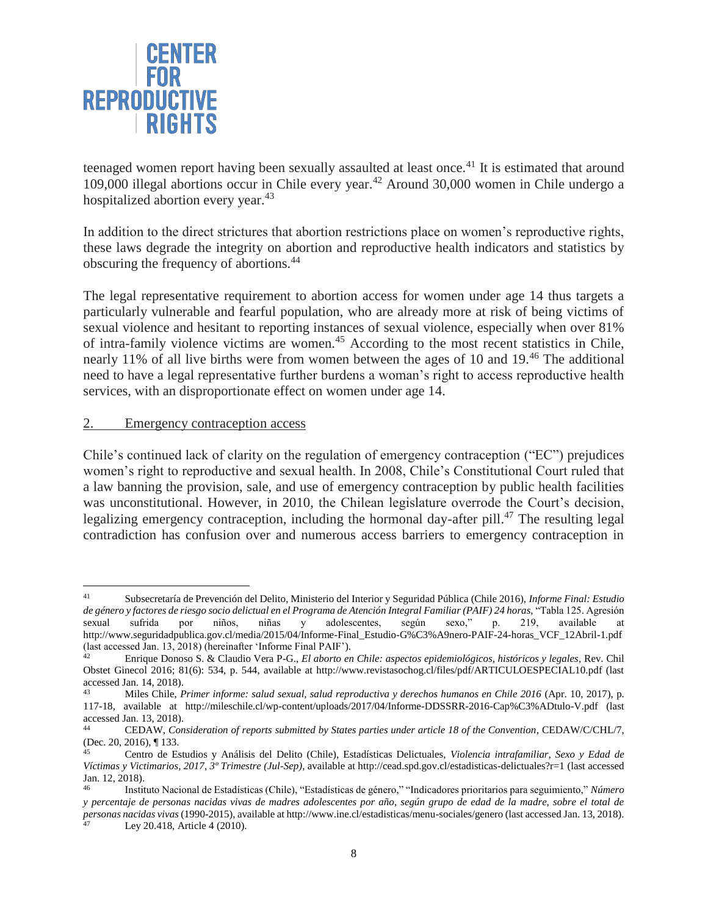

teenaged women report having been sexually assaulted at least once.<sup>41</sup> It is estimated that around 109,000 illegal abortions occur in Chile every year.<sup>42</sup> Around 30,000 women in Chile undergo a hospitalized abortion every year.<sup>43</sup>

In addition to the direct strictures that abortion restrictions place on women's reproductive rights, these laws degrade the integrity on abortion and reproductive health indicators and statistics by obscuring the frequency of abortions.<sup>44</sup>

The legal representative requirement to abortion access for women under age 14 thus targets a particularly vulnerable and fearful population, who are already more at risk of being victims of sexual violence and hesitant to reporting instances of sexual violence, especially when over 81% of intra-family violence victims are women.<sup>45</sup> According to the most recent statistics in Chile, nearly 11% of all live births were from women between the ages of 10 and 19.<sup>46</sup> The additional need to have a legal representative further burdens a woman's right to access reproductive health services, with an disproportionate effect on women under age 14.

### 2. Emergency contraception access

Chile's continued lack of clarity on the regulation of emergency contraception ("EC") prejudices women's right to reproductive and sexual health. In 2008, Chile's Constitutional Court ruled that a law banning the provision, sale, and use of emergency contraception by public health facilities was unconstitutional. However, in 2010, the Chilean legislature overrode the Court's decision, legalizing emergency contraception, including the hormonal day-after pill.<sup>47</sup> The resulting legal contradiction has confusion over and numerous access barriers to emergency contraception in

 $41$ <sup>41</sup> Subsecretaría de Prevención del Delito, Ministerio del Interior y Seguridad Pública (Chile 2016), *Informe Final: Estudio de género y factores de riesgo socio delictual en el Programa de Atención Integral Familiar (PAIF) 24 horas,* "Tabla 125. Agresión sexual sufrida por niños, niñas y adolescentes, según sexo," p. 219, available at sexual sufrida por niños, niñas y adolescentes, según sexo," p. 219, available at http://www.seguridadpublica.gov.cl/media/2015/04/Informe-Final\_Estudio-G%C3%A9nero-PAIF-24-horas\_VCF\_12Abril-1.pdf (last accessed Jan. 13, 2018) (hereinafter 'Informe Final PAIF').

<sup>42</sup> Enrique Donoso S. & Claudio Vera P-G., *El aborto en Chile: aspectos epidemiológicos, históricos y legales*, Rev. Chil Obstet Ginecol 2016; 81(6): 534, p. 544, available at http://www.revistasochog.cl/files/pdf/ARTICULOESPECIAL10.pdf (last accessed Jan. 14, 2018).

<sup>43</sup> Miles Chile, *Primer informe: salud sexual, salud reproductiva y derechos humanos en Chile 2016* (Apr. 10, 2017), p. 117-18, available at http://mileschile.cl/wp-content/uploads/2017/04/Informe-DDSSRR-2016-Cap%C3%ADtulo-V.pdf (last accessed Jan. 13, 2018).

<sup>44</sup> CEDAW, *Consideration of reports submitted by States parties under article 18 of the Convention*, CEDAW/C/CHL/7, (Dec. 20, 2016), ¶ 133.

<sup>45</sup> Centro de Estudios y Análisis del Delito (Chile), Estadísticas Delictuales, *Violencia intrafamiliar, Sexo y Edad de Víctimas y Victimarios*, *2017, 3º Trimestre (Jul-Sep)*, available at http://cead.spd.gov.cl/estadisticas-delictuales?r=1 (last accessed Jan. 12, 2018).

<sup>46</sup> Instituto Nacional de Estadísticas (Chile), "Estadísticas de género," "Indicadores prioritarios para seguimiento," *Número y percentaje de personas nacidas vivas de madres adolescentes por año, según grupo de edad de la madre, sobre el total de personas nacidas vivas* (1990-2015), available at http://www.ine.cl/estadisticas/menu-sociales/genero (last accessed Jan. 13, 2018). Ley 20.418, Article 4 (2010).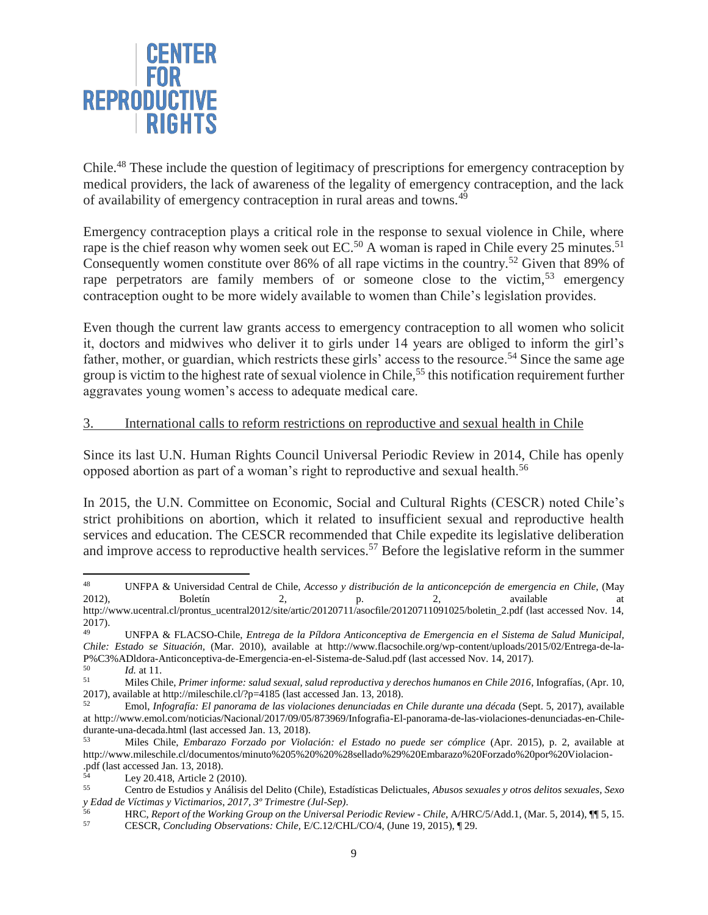

Chile.<sup>48</sup> These include the question of legitimacy of prescriptions for emergency contraception by medical providers, the lack of awareness of the legality of emergency contraception, and the lack of availability of emergency contraception in rural areas and towns.<sup>49</sup>

Emergency contraception plays a critical role in the response to sexual violence in Chile, where rape is the chief reason why women seek out EC.<sup>50</sup> A woman is raped in Chile every 25 minutes.<sup>51</sup> Consequently women constitute over 86% of all rape victims in the country.<sup>52</sup> Given that 89% of rape perpetrators are family members of or someone close to the victim,  $53$  emergency contraception ought to be more widely available to women than Chile's legislation provides.

Even though the current law grants access to emergency contraception to all women who solicit it, doctors and midwives who deliver it to girls under 14 years are obliged to inform the girl's father, mother, or guardian, which restricts these girls' access to the resource.<sup>54</sup> Since the same age group is victim to the highest rate of sexual violence in Chile,<sup>55</sup> this notification requirement further aggravates young women's access to adequate medical care.

#### 3. International calls to reform restrictions on reproductive and sexual health in Chile

Since its last U.N. Human Rights Council Universal Periodic Review in 2014, Chile has openly opposed abortion as part of a woman's right to reproductive and sexual health.<sup>56</sup>

In 2015, the U.N. Committee on Economic, Social and Cultural Rights (CESCR) noted Chile's strict prohibitions on abortion, which it related to insufficient sexual and reproductive health services and education. The CESCR recommended that Chile expedite its legislative deliberation and improve access to reproductive health services.<sup>57</sup> Before the legislative reform in the summer

 $48$ <sup>48</sup> UNFPA & Universidad Central de Chile, *Accesso y distribución de la anticoncepción de emergencia en Chile*, (May 2012), Boletín 2, p. 2, available at http://www.ucentral.cl/prontus\_ucentral2012/site/artic/20120711/asocfile/20120711091025/boletin\_2.pdf (last accessed Nov. 14,

<sup>2017).</sup> 

<sup>49</sup> UNFPA & FLACSO-Chile, *Entrega de la Píldora Anticonceptiva de Emergencia en el Sistema de Salud Municipal, Chile: Estado se Situación,* (Mar. 2010), available at http://www.flacsochile.org/wp-content/uploads/2015/02/Entrega-de-la-P%C3%ADldora-Anticonceptiva-de-Emergencia-en-el-Sistema-de-Salud.pdf (last accessed Nov. 14, 2017).<br><sup>50</sup>

 $\frac{50}{51}$  *Id.* at 11.

<sup>51</sup> Miles Chile, *Primer informe: salud sexual, salud reproductiva y derechos humanos en Chile 2016*, Infografías, (Apr. 10, 2017), available at http://mileschile.cl/?p=4185 (last accessed Jan. 13, 2018).

<sup>52</sup> Emol, *Infografía: El panorama de las violaciones denunciadas en Chile durante una década* (Sept. 5, 2017), available at http://www.emol.com/noticias/Nacional/2017/09/05/873969/Infografia-El-panorama-de-las-violaciones-denunciadas-en-Chiledurante-una-decada.html (last accessed Jan. 13, 2018).

<sup>53</sup> Miles Chile, *Embarazo Forzado por Violación: el Estado no puede ser cómplice* (Apr. 2015), p. 2, available at http://www.mileschile.cl/documentos/minuto%205%20%20%28sellado%29%20Embarazo%20Forzado%20por%20Violacion- .pdf (last accessed Jan. 13, 2018).

 $55$  Ley 20.418, Article 2 (2010).<br>Centro de Estudios y Análisis

<sup>55</sup> Centro de Estudios y Análisis del Delito (Chile), Estadísticas Delictuales, *Abusos sexuales y otros delitos sexuales, Sexo y Edad de Víctimas y Victimarios*, *2017, 3º Trimestre (Jul-Sep)*.

<sup>56</sup> HRC, *Report of the Working Group on the Universal Periodic Review - Chile*, A/HRC/5/Add.1, (Mar. 5, 2014),  $\P$  5, 15.<br>57 CESCP, *Congluding Observations: Chile* E/C 12/CHI/CO/4 (Jyna 10, 2015),  $\P$  20. <sup>57</sup> CESCR, *Concluding Observations: Chile,* E/C.12/CHL/CO/4, (June 19, 2015), ¶ 29.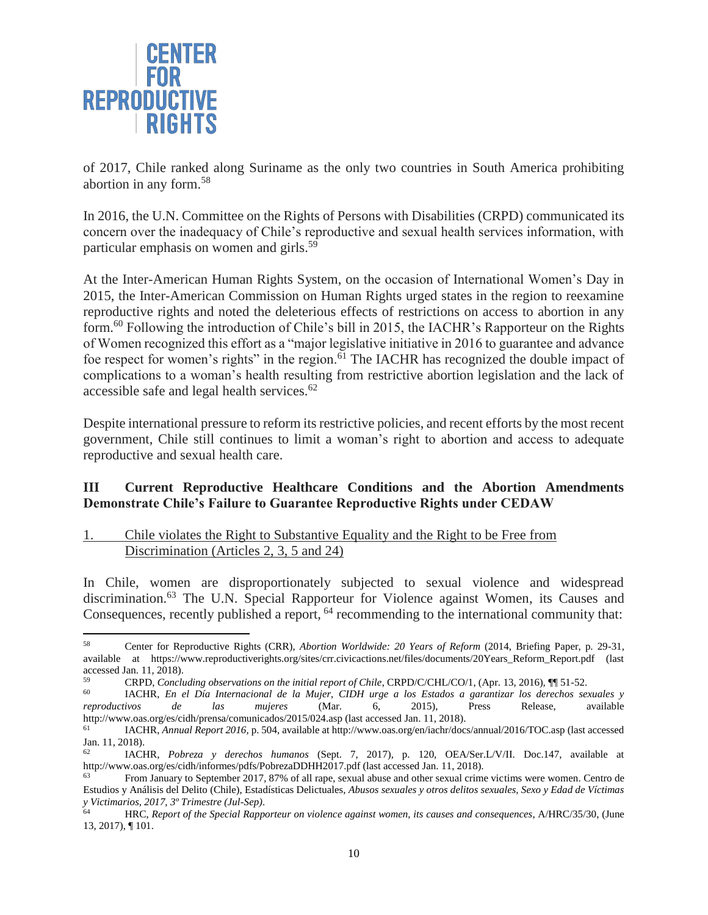

of 2017, Chile ranked along Suriname as the only two countries in South America prohibiting abortion in any form.<sup>58</sup>

In 2016, the U.N. Committee on the Rights of Persons with Disabilities (CRPD) communicated its concern over the inadequacy of Chile's reproductive and sexual health services information, with particular emphasis on women and girls.<sup>59</sup>

At the Inter-American Human Rights System, on the occasion of International Women's Day in 2015, the Inter-American Commission on Human Rights urged states in the region to reexamine reproductive rights and noted the deleterious effects of restrictions on access to abortion in any form.<sup>60</sup> Following the introduction of Chile's bill in 2015, the IACHR's Rapporteur on the Rights of Women recognized this effort as a "major legislative initiative in 2016 to guarantee and advance foe respect for women's rights" in the region.<sup>61</sup> The IACHR has recognized the double impact of complications to a woman's health resulting from restrictive abortion legislation and the lack of accessible safe and legal health services.<sup>62</sup>

Despite international pressure to reform its restrictive policies, and recent efforts by the most recent government, Chile still continues to limit a woman's right to abortion and access to adequate reproductive and sexual health care.

## **III Current Reproductive Healthcare Conditions and the Abortion Amendments Demonstrate Chile's Failure to Guarantee Reproductive Rights under CEDAW**

## 1. Chile violates the Right to Substantive Equality and the Right to be Free from Discrimination (Articles 2, 3, 5 and 24)

In Chile, women are disproportionately subjected to sexual violence and widespread discrimination.<sup>63</sup> The U.N. Special Rapporteur for Violence against Women, its Causes and Consequences, recently published a report, <sup>64</sup> recommending to the international community that:

<sup>58</sup> <sup>58</sup> Center for Reproductive Rights (CRR), *Abortion Worldwide: 20 Years of Reform* (2014, Briefing Paper, p. 29-31, available at https://www.reproductiverights.org/sites/crr.civicactions.net/files/documents/20Years\_Reform\_Report.pdf (last accessed Jan. 11, 2018).<br> $\frac{59}{CEDD}$  Canal

<sup>59</sup> CRPD, *Concluding observations on the initial report of Chile*, CRPD/C/CHL/CO/1, (Apr. 13, 2016),  $\P$  51-52.<br><sup>60</sup> LACHR Fn el Día Internacional de la Mujer, CIDH urge a los Estados a garantizar los derechos se

<sup>60</sup> IACHR, *En el Día Internacional de la Mujer, CIDH urge a los Estados a garantizar los derechos sexuales y reproductivos de las mujeres* (Mar. 6, 2015), Press Release, available http://www.oas.org/es/cidh/prensa/comunicados/2015/024.asp (last accessed Jan. 11, 2018).

<sup>61</sup> IACHR, *Annual Report 2016,* p. 504, available at http://www.oas.org/en/iachr/docs/annual/2016/TOC.asp (last accessed Jan. 11, 2018).

<sup>62</sup> IACHR, *Pobreza y derechos humanos* (Sept. 7, 2017), p. 120, OEA/Ser.L/V/II. Doc.147, available at http://www.oas.org/es/cidh/informes/pdfs/PobrezaDDHH2017.pdf (last accessed Jan. 11, 2018).

<sup>63</sup> From January to September 2017, 87% of all rape, sexual abuse and other sexual crime victims were women. Centro de Estudios y Análisis del Delito (Chile), Estadísticas Delictuales, *Abusos sexuales y otros delitos sexuales, Sexo y Edad de Víctimas y Victimarios*, *2017, 3º Trimestre (Jul-Sep)*.

<sup>64</sup> HRC, *Report of the Special Rapporteur on violence against women, its causes and consequences*, A/HRC/35/30, (June 13, 2017), ¶ 101.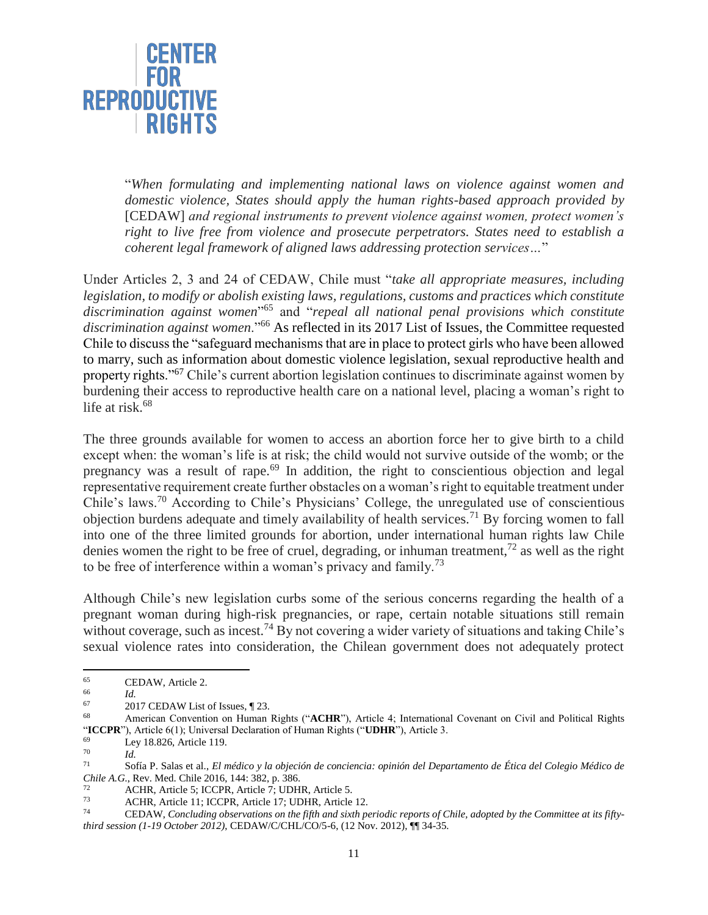

"*When formulating and implementing national laws on violence against women and domestic violence, States should apply the human rights-based approach provided by*  [CEDAW] *and regional instruments to prevent violence against women, protect women's right to live free from violence and prosecute perpetrators. States need to establish a coherent legal framework of aligned laws addressing protection services…*"

Under Articles 2, 3 and 24 of CEDAW, Chile must "*take all appropriate measures, including legislation, to modify or abolish existing laws, regulations, customs and practices which constitute discrimination against women*" <sup>65</sup> and "*repeal all national penal provisions which constitute discrimination against women*."<sup>66</sup> As reflected in its 2017 List of Issues, the Committee requested Chile to discuss the "safeguard mechanisms that are in place to protect girls who have been allowed to marry, such as information about domestic violence legislation, sexual reproductive health and property rights."<sup>67</sup> Chile's current abortion legislation continues to discriminate against women by burdening their access to reproductive health care on a national level, placing a woman's right to life at risk. $68$ 

The three grounds available for women to access an abortion force her to give birth to a child except when: the woman's life is at risk; the child would not survive outside of the womb; or the pregnancy was a result of rape.<sup>69</sup> In addition, the right to conscientious objection and legal representative requirement create further obstacles on a woman's right to equitable treatment under Chile's laws.<sup>70</sup> According to Chile's Physicians' College, the unregulated use of conscientious objection burdens adequate and timely availability of health services.<sup>71</sup> By forcing women to fall into one of the three limited grounds for abortion, under international human rights law Chile denies women the right to be free of cruel, degrading, or inhuman treatment,<sup>72</sup> as well as the right to be free of interference within a woman's privacy and family.<sup>73</sup>

Although Chile's new legislation curbs some of the serious concerns regarding the health of a pregnant woman during high-risk pregnancies, or rape, certain notable situations still remain without coverage, such as incest.<sup>74</sup> By not covering a wider variety of situations and taking Chile's sexual violence rates into consideration, the Chilean government does not adequately protect

 $\overline{a}$ 

 $\begin{array}{cc}\n\text{65} \\
\text{66} \\
\text{66}\n\end{array}$  CEDAW, Article 2.

 $\begin{array}{cc} 66 & \text{Id.} \\ 67 & \text{20.} \end{array}$ 

<sup>&</sup>lt;sup>67</sup> 2017 CEDAW List of Issues,  $\left[\frac{23}{12}\right]$ .

<sup>68</sup> American Convention on Human Rights ("**ACHR**"), Article 4; International Covenant on Civil and Political Rights "**ICCPR**"), Article 6(1); Universal Declaration of Human Rights ("**UDHR**"), Article 3.

 $^{69}$  Ley 18.826, Article 119.

 $\frac{70}{71}$  *Id.* 

<sup>71</sup> Sofía P. Salas et al., *El médico y la objeción de conciencia: opinión del Departamento de Ética del Colegio Médico de Chile A.G.*, Rev. Med. Chile 2016, 144: 382, p. 386.

 $\frac{72}{73}$  ACHR, Article 5; ICCPR, Article 7; UDHR, Article 5.<br>ACHR Article 11: ICCPR Article 17: UDHR Article

 $^{73}$  ACHR, Article 11; ICCPR, Article 17; UDHR, Article 12.

<sup>74</sup> CEDAW, *Concluding observations on the fifth and sixth periodic reports of Chile, adopted by the Committee at its fiftythird session (1-19 October 2012)*, CEDAW/C/CHL/CO/5-6, (12 Nov. 2012), ¶¶ 34-35.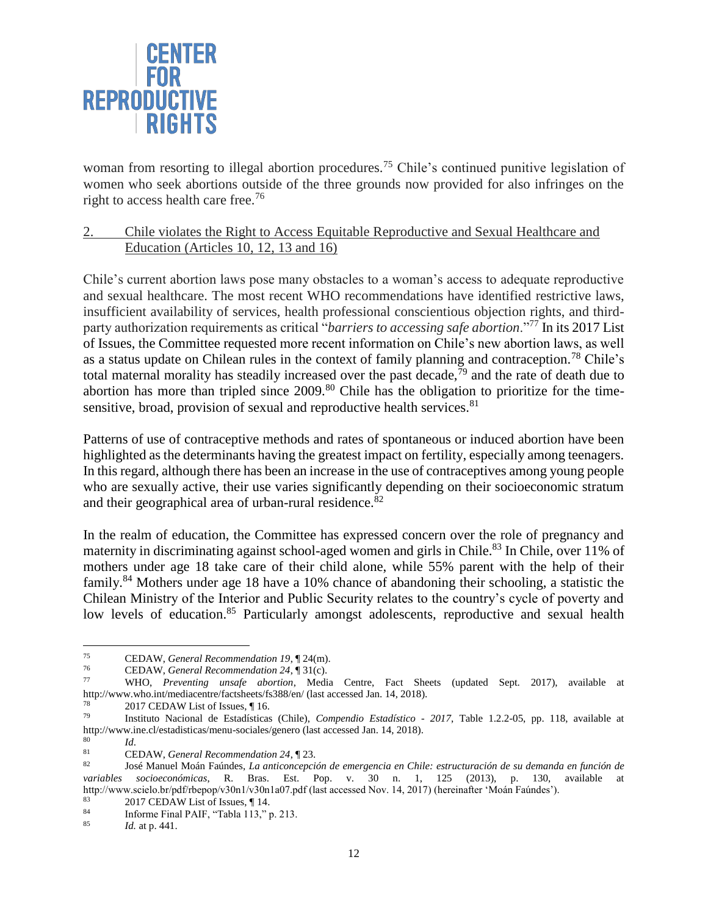

woman from resorting to illegal abortion procedures.<sup>75</sup> Chile's continued punitive legislation of women who seek abortions outside of the three grounds now provided for also infringes on the right to access health care free.<sup>76</sup>

## 2. Chile violates the Right to Access Equitable Reproductive and Sexual Healthcare and Education (Articles 10, 12, 13 and 16)

Chile's current abortion laws pose many obstacles to a woman's access to adequate reproductive and sexual healthcare. The most recent WHO recommendations have identified restrictive laws, insufficient availability of services, health professional conscientious objection rights, and thirdparty authorization requirements as critical "*barriers to accessing safe abortion*."<sup>77</sup> In its 2017 List of Issues, the Committee requested more recent information on Chile's new abortion laws, as well as a status update on Chilean rules in the context of family planning and contraception.<sup>78</sup> Chile's total maternal morality has steadily increased over the past decade,  $\frac{79}{79}$  and the rate of death due to abortion has more than tripled since  $2009$ .<sup>80</sup> Chile has the obligation to prioritize for the timesensitive, broad, provision of sexual and reproductive health services. $81$ 

Patterns of use of contraceptive methods and rates of spontaneous or induced abortion have been highlighted as the determinants having the greatest impact on fertility, especially among teenagers. In this regard, although there has been an increase in the use of contraceptives among young people who are sexually active, their use varies significantly depending on their socioeconomic stratum and their geographical area of urban-rural residence.<sup>82</sup>

In the realm of education, the Committee has expressed concern over the role of pregnancy and maternity in discriminating against school-aged women and girls in Chile.<sup>83</sup> In Chile, over 11% of mothers under age 18 take care of their child alone, while 55% parent with the help of their family.<sup>84</sup> Mothers under age 18 have a 10% chance of abandoning their schooling, a statistic the Chilean Ministry of the Interior and Public Security relates to the country's cycle of poverty and low levels of education.<sup>85</sup> Particularly amongst adolescents, reproductive and sexual health

 $75\,$ <sup>75</sup> CEDAW, *General Recommendation 19*, ¶ 24(m).

<sup>76</sup> CEDAW, *General Recommendation 24*, ¶ 31(c).

<sup>77</sup> WHO, *Preventing unsafe abortion*, Media Centre, Fact Sheets (updated Sept. 2017), available at http://www.who.int/mediacentre/factsheets/fs388/en/ (last accessed Jan. 14, 2018).

 $^{78}$  2017 CEDAW List of Issues,  $\parallel$  16.

<sup>79</sup> Instituto Nacional de Estadísticas (Chile), *Compendio Estadístico - 2017*, Table 1.2.2-05, pp. 118, available at http://www.ine.cl/estadisticas/menu-sociales/genero (last accessed Jan. 14, 2018).

 $\frac{80}{81}$  *Id.* 

<sup>81</sup> CEDAW, *General Recommendation 24*, ¶ 23.

<sup>82</sup> José Manuel Moán Faúndes, *La anticoncepción de emergencia en Chile: estructuración de su demanda en función de variables socioeconómicas*, R. Bras. Est. Pop. v. 30 n. 1, 125 (2013), p. 130, available at http://www.scielo.br/pdf/rbepop/v30n1/v30n1a07.pdf (last accessed Nov. 14, 2017) (hereinafter 'Moán Faúndes').

<sup>&</sup>lt;sup>83</sup> 2017 CEDAW List of Issues,  $\P$  14.<br><sup>84</sup> Informa Einel PAIE "Table 113" r

<sup>&</sup>lt;sup>84</sup> Informe Final PAIF, "Tabla 113," p. 213.

*Id.* at p. 441.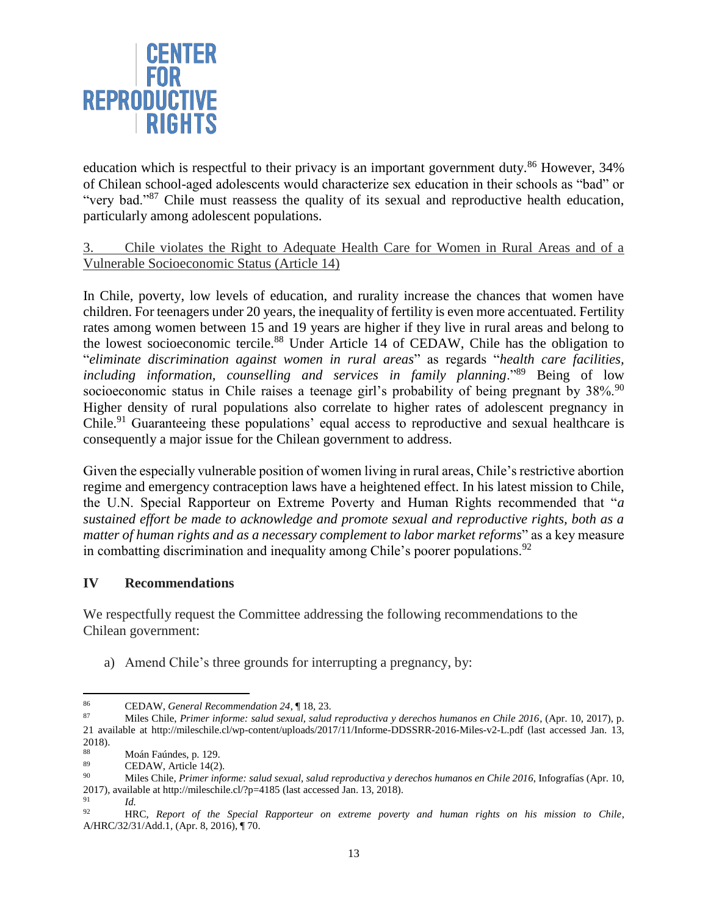

education which is respectful to their privacy is an important government duty.<sup>86</sup> However, 34% of Chilean school-aged adolescents would characterize sex education in their schools as "bad" or "very bad."<sup>87</sup> Chile must reassess the quality of its sexual and reproductive health education, particularly among adolescent populations.

3. Chile violates the Right to Adequate Health Care for Women in Rural Areas and of a Vulnerable Socioeconomic Status (Article 14)

In Chile, poverty, low levels of education, and rurality increase the chances that women have children. For teenagers under 20 years, the inequality of fertility is even more accentuated. Fertility rates among women between 15 and 19 years are higher if they live in rural areas and belong to the lowest socioeconomic tercile.<sup>88</sup> Under Article 14 of CEDAW, Chile has the obligation to "*eliminate discrimination against women in rural areas*" as regards "*health care facilities, including information, counselling and services in family planning*."<sup>89</sup> Being of low socioeconomic status in Chile raises a teenage girl's probability of being pregnant by  $38\%$ .<sup>90</sup> Higher density of rural populations also correlate to higher rates of adolescent pregnancy in Chile.<sup>91</sup> Guaranteeing these populations' equal access to reproductive and sexual healthcare is consequently a major issue for the Chilean government to address.

Given the especially vulnerable position of women living in rural areas, Chile's restrictive abortion regime and emergency contraception laws have a heightened effect. In his latest mission to Chile, the U.N. Special Rapporteur on Extreme Poverty and Human Rights recommended that "*a sustained effort be made to acknowledge and promote sexual and reproductive rights, both as a matter of human rights and as a necessary complement to labor market reforms*" as a key measure in combatting discrimination and inequality among Chile's poorer populations.<sup>92</sup>

### **IV Recommendations**

We respectfully request the Committee addressing the following recommendations to the Chilean government:

a) Amend Chile's three grounds for interrupting a pregnancy, by:

<sup>86</sup> <sup>86</sup> CEDAW, *General Recommendation 24*, ¶ 18, 23.

<sup>87</sup> Miles Chile, *Primer informe: salud sexual, salud reproductiva y derechos humanos en Chile 2016*, (Apr. 10, 2017), p. 21 available at http://mileschile.cl/wp-content/uploads/2017/11/Informe-DDSSRR-2016-Miles-v2-L.pdf (last accessed Jan. 13, 2018).

<sup>&</sup>lt;sup>88</sup> Moán Faúndes, p. 129.<br>  $\frac{89}{\text{CFDAW} \text{Aright}}$ 

 $\begin{array}{c}\n 89 \\
 \hline\n 90\n \end{array}$  CEDAW, Article 14(2).

<sup>90</sup> Miles Chile, *Primer informe: salud sexual, salud reproductiva y derechos humanos en Chile 2016*, Infografías (Apr. 10, 2017), available at http://mileschile.cl/?p=4185 (last accessed Jan. 13, 2018).

 $\frac{91}{92}$  *Id.* <sup>92</sup> HRC, *Report of the Special Rapporteur on extreme poverty and human rights on his mission to Chile*, A/HRC/32/31/Add.1, (Apr. 8, 2016), ¶ 70.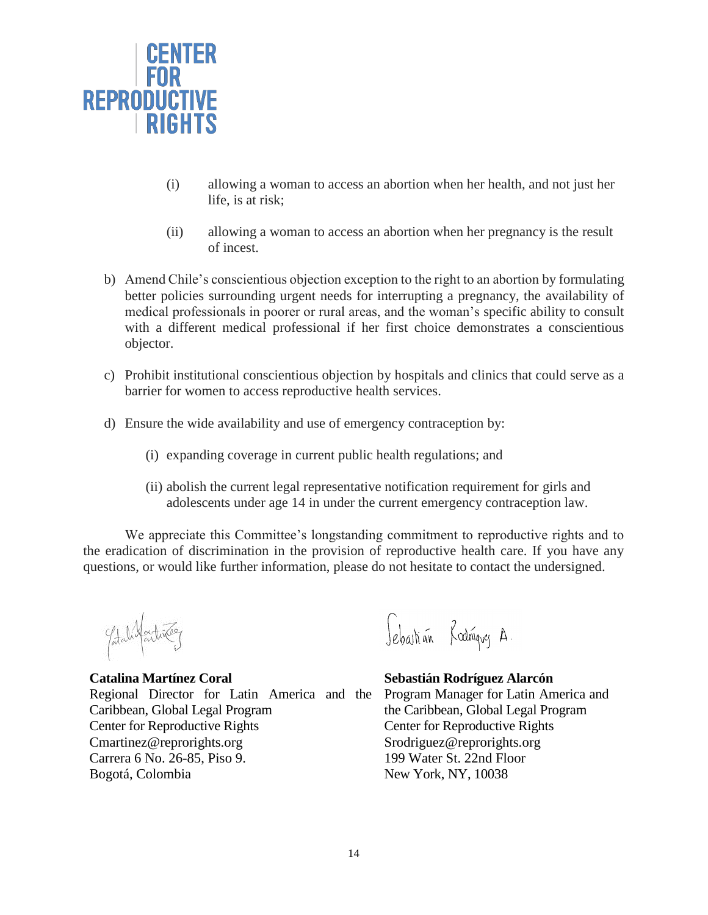

- (i) allowing a woman to access an abortion when her health, and not just her life, is at risk;
- (ii) allowing a woman to access an abortion when her pregnancy is the result of incest. argentino infringió sus obligaciones de no discriminar por razones de discapacidad o edad, de
- b) Amend Chile's conscientious objection exception to the right to an abortion by formulating better policies surrounding urgent needs for interrupting a pregnancy, the availability of medical professionals in poorer or rural areas, and the woman's specific ability to consult with a different medical professional if her first choice demonstrates a conscientious objector.
- c) Prohibit institutional conscientious objection by hospitals and clinics that could serve as a barrier for women to access reproductive health services.
- d) Ensure the wide availability and use of emergency contraception by:
	- (i) expanding coverage in current public health regulations; and
	- (ii) abolish the current legal representative notification requirement for girls and adolescents under age 14 in under the current emergency contraception law.

We appreciate this Committee's longstanding commitment to reproductive rights and to the eradication of discrimination in the provision of reproductive health care. If you have any questions, or would like further information, please do not hesitate to contact the undersigned.

**Catalina Martínez Coral** Regional Director for Latin America and the Program Manager for Latin America and Caribbean, Global Legal Program Center for Reproductive Rights Cmartinez@reprorights.org Carrera 6 No. 26-85, Piso 9. Bogotá, Colombia

Jebastián Radniques A.

# Sebastián Rodríguez Alarcón

the Caribbean, Global Legal Program Center for Reproductive Rights Srodriguez@reprorights.org 199 Water St. 22nd Floor New York, NY, 10038  $U$ <sup>2</sup> Doar Legar F  $U$ grafi $I$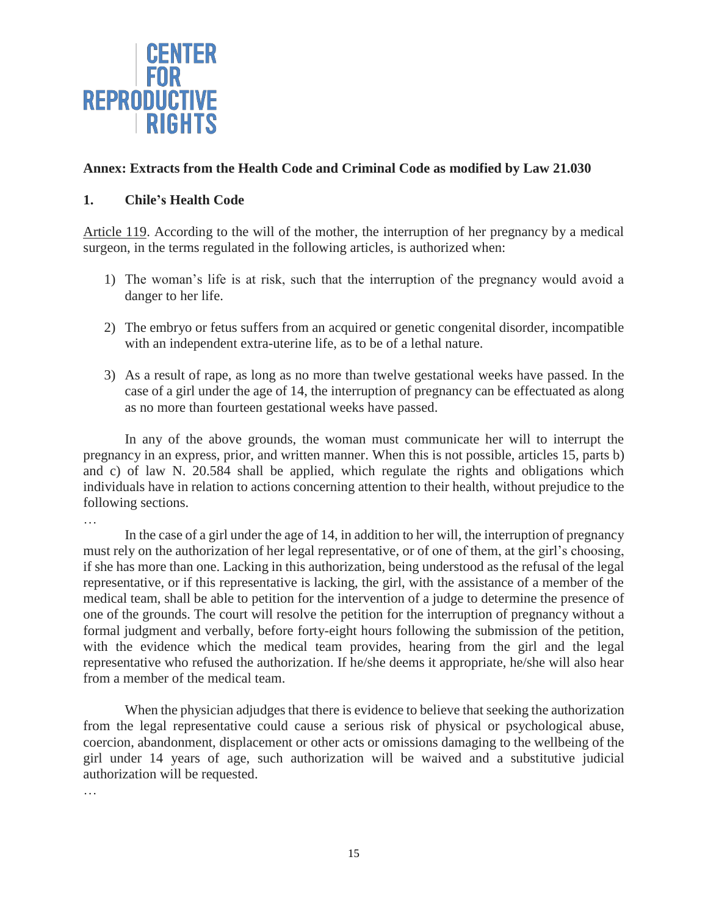

# **Annex: Extracts from the Health Code and Criminal Code as modified by Law 21.030**

# **1. Chile's Health Code**

Article 119. According to the will of the mother, the interruption of her pregnancy by a medical surgeon, in the terms regulated in the following articles, is authorized when:

- 1) The woman's life is at risk, such that the interruption of the pregnancy would avoid a danger to her life.
- 2) The embryo or fetus suffers from an acquired or genetic congenital disorder, incompatible with an independent extra-uterine life, as to be of a lethal nature.
- 3) As a result of rape, as long as no more than twelve gestational weeks have passed. In the case of a girl under the age of 14, the interruption of pregnancy can be effectuated as along as no more than fourteen gestational weeks have passed.

In any of the above grounds, the woman must communicate her will to interrupt the pregnancy in an express, prior, and written manner. When this is not possible, articles 15, parts b) and c) of law N. 20.584 shall be applied, which regulate the rights and obligations which individuals have in relation to actions concerning attention to their health, without prejudice to the following sections.

…

In the case of a girl under the age of 14, in addition to her will, the interruption of pregnancy must rely on the authorization of her legal representative, or of one of them, at the girl's choosing, if she has more than one. Lacking in this authorization, being understood as the refusal of the legal representative, or if this representative is lacking, the girl, with the assistance of a member of the medical team, shall be able to petition for the intervention of a judge to determine the presence of one of the grounds. The court will resolve the petition for the interruption of pregnancy without a formal judgment and verbally, before forty-eight hours following the submission of the petition, with the evidence which the medical team provides, hearing from the girl and the legal representative who refused the authorization. If he/she deems it appropriate, he/she will also hear from a member of the medical team.

When the physician adjudges that there is evidence to believe that seeking the authorization from the legal representative could cause a serious risk of physical or psychological abuse, coercion, abandonment, displacement or other acts or omissions damaging to the wellbeing of the girl under 14 years of age, such authorization will be waived and a substitutive judicial authorization will be requested.

…